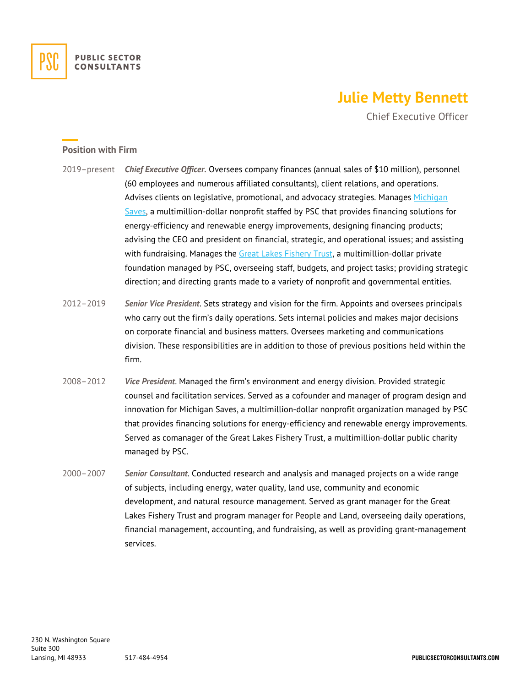

## **Julie Metty Bennett**

Chief Executive Officer

## **Position with Firm**

- 2019–present *Chief Executive Officer.* Oversees company finances (annual sales of \$10 million), personnel (60 employees and numerous affiliated consultants), client relations, and operations. Advises clients on legislative, promotional, and advocacy strategies. Manages [Michigan](https://michigansaves.org/)  [Saves,](https://michigansaves.org/) a multimillion-dollar nonprofit staffed by PSC that provides financing solutions for energy-efficiency and renewable energy improvements, designing financing products; advising the CEO and president on financial, strategic, and operational issues; and assisting with fundraising. Manages the [Great Lakes Fishery Trust,](https://www.glft.org/) a multimillion-dollar private foundation managed by PSC, overseeing staff, budgets, and project tasks; providing strategic direction; and directing grants made to a variety of nonprofit and governmental entities.
- 2012–2019 *Senior Vice President*. Sets strategy and vision for the firm. Appoints and oversees principals who carry out the firm's daily operations. Sets internal policies and makes major decisions on corporate financial and business matters. Oversees marketing and communications division. These responsibilities are in addition to those of previous positions held within the firm.
- 2008–2012 *Vice President*. Managed the firm's environment and energy division. Provided strategic counsel and facilitation services. Served as a cofounder and manager of program design and innovation for Michigan Saves, a multimillion-dollar nonprofit organization managed by PSC that provides financing solutions for energy-efficiency and renewable energy improvements. Served as comanager of the Great Lakes Fishery Trust, a multimillion-dollar public charity managed by PSC.
- 2000–2007 *Senior Consultant*. Conducted research and analysis and managed projects on a wide range of subjects, including energy, water quality, land use, community and economic development, and natural resource management. Served as grant manager for the Great Lakes Fishery Trust and program manager for People and Land, overseeing daily operations, financial management, accounting, and fundraising, as well as providing grant-management services.